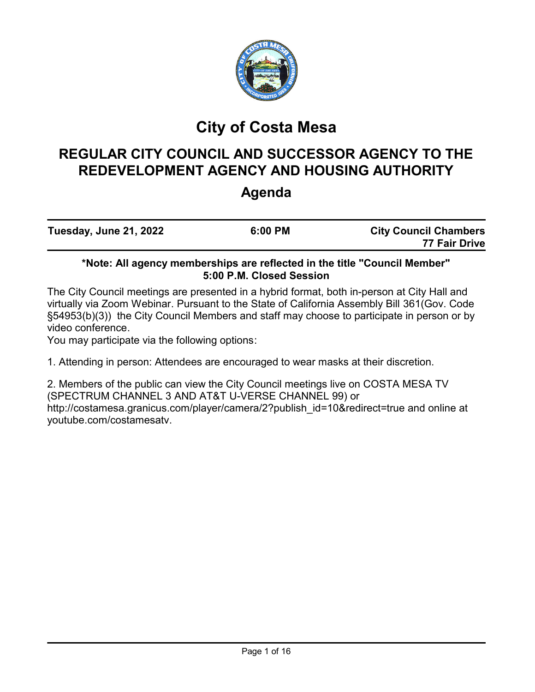

# **City of Costa Mesa**

# **REGULAR CITY COUNCIL AND SUCCESSOR AGENCY TO THE REDEVELOPMENT AGENCY AND HOUSING AUTHORITY**

# **Agenda**

| Tuesday, June 21, 2022 | 6:00 PM | <b>City Council Chambers</b><br>77 Fair Drive |
|------------------------|---------|-----------------------------------------------|
|                        |         |                                               |

# **\*Note: All agency memberships are reflected in the title "Council Member" 5:00 P.M. Closed Session**

The City Council meetings are presented in a hybrid format, both in-person at City Hall and virtually via Zoom Webinar. Pursuant to the State of California Assembly Bill 361(Gov. Code §54953(b)(3)) the City Council Members and staff may choose to participate in person or by video conference.

You may participate via the following options:

1. Attending in person: Attendees are encouraged to wear masks at their discretion.

2. Members of the public can view the City Council meetings live on COSTA MESA TV (SPECTRUM CHANNEL 3 AND AT&T U-VERSE CHANNEL 99) or http://costamesa.granicus.com/player/camera/2?publish\_id=10&redirect=true and online at youtube.com/costamesatv.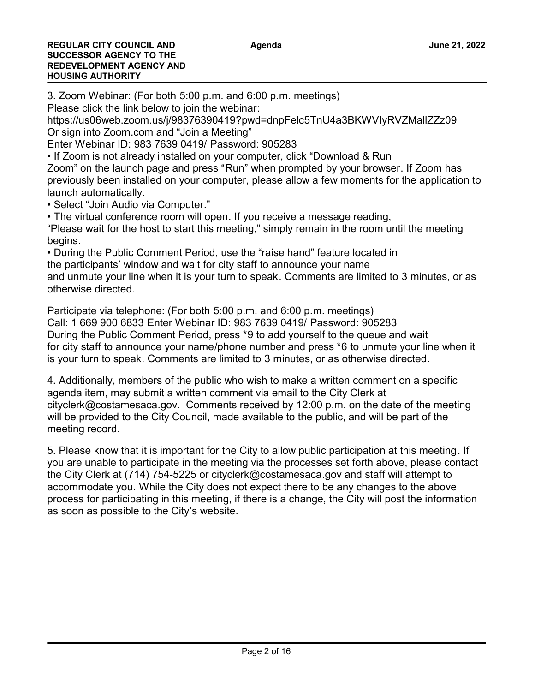3. Zoom Webinar: (For both 5:00 p.m. and 6:00 p.m. meetings)

Please click the link below to join the webinar:

https://us06web.zoom.us/j/98376390419?pwd=dnpFelc5TnU4a3BKWVIyRVZMallZZz09 Or sign into Zoom.com and "Join a Meeting"

Enter Webinar ID: 983 7639 0419/ Password: 905283

• If Zoom is not already installed on your computer, click "Download & Run

Zoom" on the launch page and press "Run" when prompted by your browser. If Zoom has previously been installed on your computer, please allow a few moments for the application to launch automatically.

• Select "Join Audio via Computer."

• The virtual conference room will open. If you receive a message reading, "Please wait for the host to start this meeting," simply remain in the room until the meeting begins.

• During the Public Comment Period, use the "raise hand" feature located in the participants' window and wait for city staff to announce your name

and unmute your line when it is your turn to speak. Comments are limited to 3 minutes, or as otherwise directed.

Participate via telephone: (For both 5:00 p.m. and 6:00 p.m. meetings) Call: 1 669 900 6833 Enter Webinar ID: 983 7639 0419/ Password: 905283

During the Public Comment Period, press \*9 to add yourself to the queue and wait for city staff to announce your name/phone number and press \*6 to unmute your line when it is your turn to speak. Comments are limited to 3 minutes, or as otherwise directed.

4. Additionally, members of the public who wish to make a written comment on a specific agenda item, may submit a written comment via email to the City Clerk at cityclerk@costamesaca.gov. Comments received by 12:00 p.m. on the date of the meeting will be provided to the City Council, made available to the public, and will be part of the meeting record.

5. Please know that it is important for the City to allow public participation at this meeting. If you are unable to participate in the meeting via the processes set forth above, please contact the City Clerk at (714) 754-5225 or cityclerk@costamesaca.gov and staff will attempt to accommodate you. While the City does not expect there to be any changes to the above process for participating in this meeting, if there is a change, the City will post the information as soon as possible to the City's website.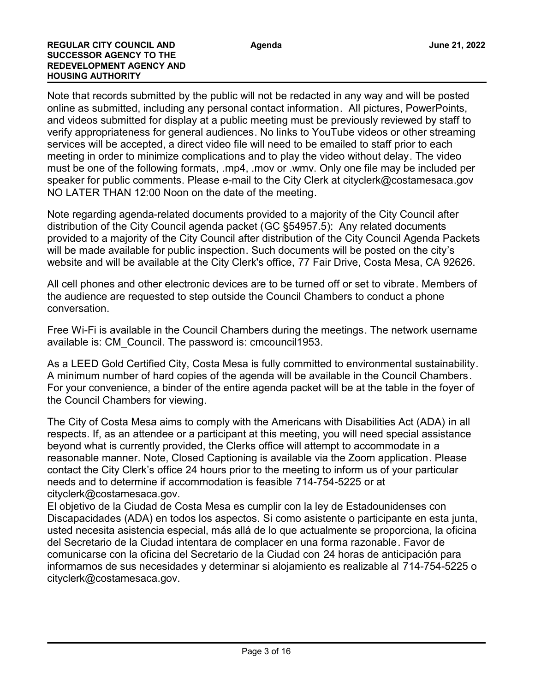#### **REGULAR CITY COUNCIL AND SUCCESSOR AGENCY TO THE REDEVELOPMENT AGENCY AND HOUSING AUTHORITY**

Note that records submitted by the public will not be redacted in any way and will be posted online as submitted, including any personal contact information. All pictures, PowerPoints, and videos submitted for display at a public meeting must be previously reviewed by staff to verify appropriateness for general audiences. No links to YouTube videos or other streaming services will be accepted, a direct video file will need to be emailed to staff prior to each meeting in order to minimize complications and to play the video without delay. The video must be one of the following formats, .mp4, .mov or .wmv. Only one file may be included per speaker for public comments. Please e-mail to the City Clerk at cityclerk@costamesaca.gov NO LATER THAN 12:00 Noon on the date of the meeting.

Note regarding agenda-related documents provided to a majority of the City Council after distribution of the City Council agenda packet (GC §54957.5): Any related documents provided to a majority of the City Council after distribution of the City Council Agenda Packets will be made available for public inspection. Such documents will be posted on the city's website and will be available at the City Clerk's office, 77 Fair Drive, Costa Mesa, CA 92626.

All cell phones and other electronic devices are to be turned off or set to vibrate. Members of the audience are requested to step outside the Council Chambers to conduct a phone conversation.

Free Wi-Fi is available in the Council Chambers during the meetings. The network username available is: CM\_Council. The password is: cmcouncil1953.

As a LEED Gold Certified City, Costa Mesa is fully committed to environmental sustainability. A minimum number of hard copies of the agenda will be available in the Council Chambers. For your convenience, a binder of the entire agenda packet will be at the table in the foyer of the Council Chambers for viewing.

The City of Costa Mesa aims to comply with the Americans with Disabilities Act (ADA) in all respects. If, as an attendee or a participant at this meeting, you will need special assistance beyond what is currently provided, the Clerks office will attempt to accommodate in a reasonable manner. Note, Closed Captioning is available via the Zoom application. Please contact the City Clerk's office 24 hours prior to the meeting to inform us of your particular needs and to determine if accommodation is feasible 714-754-5225 or at cityclerk@costamesaca.gov.

El objetivo de la Ciudad de Costa Mesa es cumplir con la ley de Estadounidenses con Discapacidades (ADA) en todos los aspectos. Si como asistente o participante en esta junta, usted necesita asistencia especial, más allá de lo que actualmente se proporciona, la oficina del Secretario de la Ciudad intentara de complacer en una forma razonable. Favor de comunicarse con la oficina del Secretario de la Ciudad con 24 horas de anticipación para informarnos de sus necesidades y determinar si alojamiento es realizable al 714-754-5225 o cityclerk@costamesaca.gov.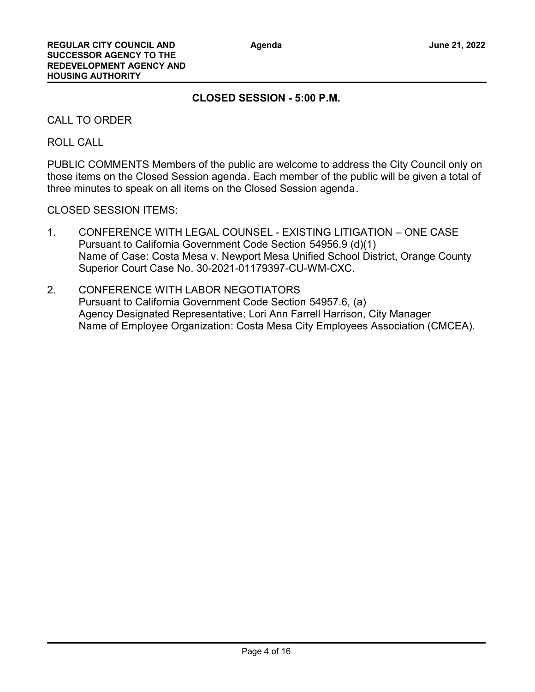# **CLOSED SESSION - 5:00 P.M.**

CALL TO ORDER

ROLL CALL

PUBLIC COMMENTS Members of the public are welcome to address the City Council only on those items on the Closed Session agenda. Each member of the public will be given a total of three minutes to speak on all items on the Closed Session agenda.

CLOSED SESSION ITEMS:

- 1. CONFERENCE WITH LEGAL COUNSEL EXISTING LITIGATION ONE CASE Pursuant to California Government Code Section 54956.9 (d)(1) Name of Case: Costa Mesa v. Newport Mesa Unified School District, Orange County Superior Court Case No. 30-2021-01179397-CU-WM-CXC.
- 2. CONFERENCE WITH LABOR NEGOTIATORS Pursuant to California Government Code Section 54957.6, (a) Agency Designated Representative: Lori Ann Farrell Harrison, City Manager Name of Employee Organization: Costa Mesa City Employees Association (CMCEA).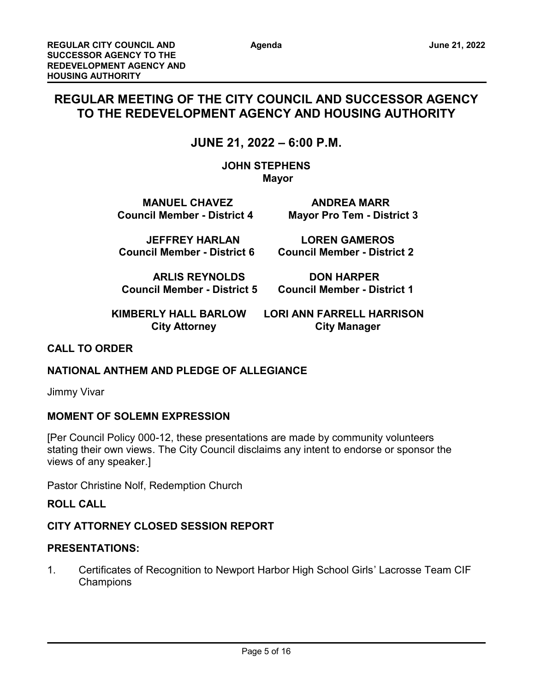# **REGULAR MEETING OF THE CITY COUNCIL AND SUCCESSOR AGENCY TO THE REDEVELOPMENT AGENCY AND HOUSING AUTHORITY**

# **JUNE 21, 2022 – 6:00 P.M.**

**JOHN STEPHENS Mayor** 

**MANUEL CHAVEZ ANDREA MARR Council Member - District 4 Mayor Pro Tem - District 3**

 **JEFFREY HARLAN LOREN GAMEROS Council Member - District 6 Council Member - District 2**

**ARLIS REYNOLDS DON HARPER**

 **Council Member - District 5 Council Member - District 1**

 **KIMBERLY HALL BARLOW LORI ANN FARRELL HARRISON**

**City Attorney City Manager** 

# **CALL TO ORDER**

## **NATIONAL ANTHEM AND PLEDGE OF ALLEGIANCE**

Jimmy Vivar

## **MOMENT OF SOLEMN EXPRESSION**

[Per Council Policy 000-12, these presentations are made by community volunteers stating their own views. The City Council disclaims any intent to endorse or sponsor the views of any speaker.]

Pastor Christine Nolf, Redemption Church

## **ROLL CALL**

# **CITY ATTORNEY CLOSED SESSION REPORT**

## **PRESENTATIONS:**

1. Certificates of Recognition to Newport Harbor High School Girls' Lacrosse Team CIF **Champions**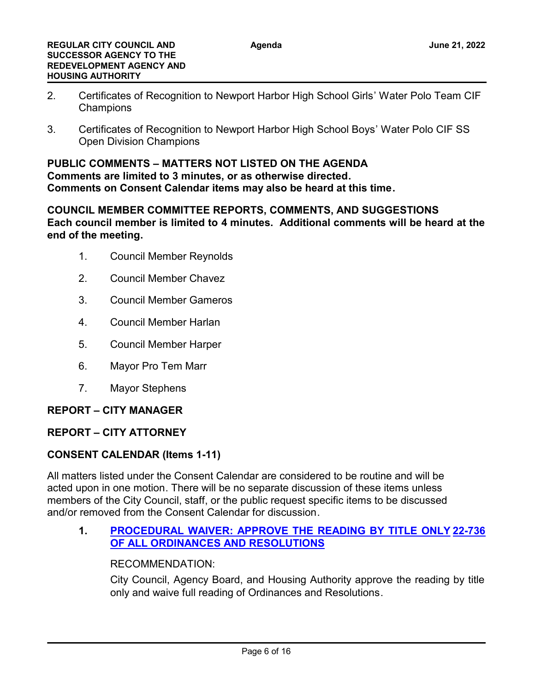- 2. Certificates of Recognition to Newport Harbor High School Girls' Water Polo Team CIF **Champions**
- 3. Certificates of Recognition to Newport Harbor High School Boys' Water Polo CIF SS Open Division Champions

#### **PUBLIC COMMENTS – MATTERS NOT LISTED ON THE AGENDA**

**Comments are limited to 3 minutes, or as otherwise directed. Comments on Consent Calendar items may also be heard at this time.**

# **COUNCIL MEMBER COMMITTEE REPORTS, COMMENTS, AND SUGGESTIONS Each council member is limited to 4 minutes. Additional comments will be heard at the end of the meeting.**

- 1. Council Member Reynolds
- 2. Council Member Chavez
- 3. Council Member Gameros
- 4. Council Member Harlan
- 5. Council Member Harper
- 6. Mayor Pro Tem Marr
- 7. Mayor Stephens

## **REPORT – CITY MANAGER**

# **REPORT – CITY ATTORNEY**

## **CONSENT CALENDAR (Items 1-11)**

All matters listed under the Consent Calendar are considered to be routine and will be acted upon in one motion. There will be no separate discussion of these items unless members of the City Council, staff, or the public request specific items to be discussed and/or removed from the Consent Calendar for discussion.

#### **1. [PROCEDURAL WAIVER: APPROVE THE READING BY TITLE ONLY](http://costamesa.legistar.com/gateway.aspx?m=l&id=/matter.aspx?key=1840) [22-736](http://costamesa.legistar.com/gateway.aspx?m=l&id=/matter.aspx?key=1840) OF ALL ORDINANCES AND RESOLUTIONS**

## RECOMMENDATION:

City Council, Agency Board, and Housing Authority approve the reading by title only and waive full reading of Ordinances and Resolutions.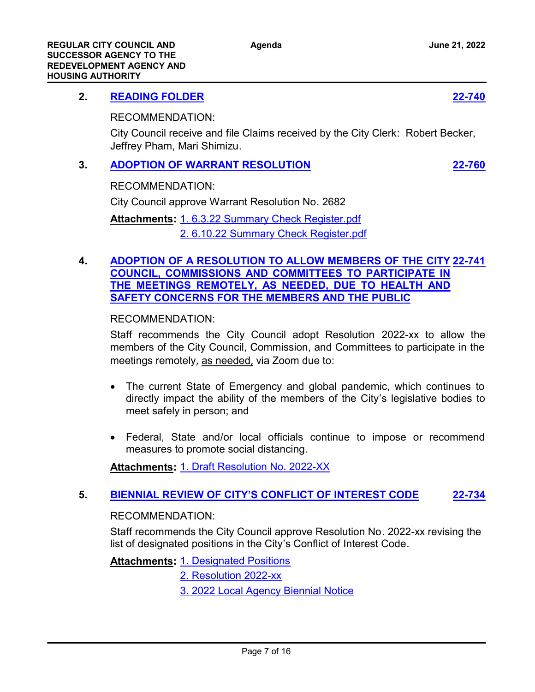# **2. [READING FOLDER](http://costamesa.legistar.com/gateway.aspx?m=l&id=/matter.aspx?key=1844) [22-740](http://costamesa.legistar.com/gateway.aspx?m=l&id=/matter.aspx?key=1844)**

RECOMMENDATION:

City Council receive and file Claims received by the City Clerk: Robert Becker, Jeffrey Pham, Mari Shimizu.

# **3. [ADOPTION OF WARRANT RESOLUTION](http://costamesa.legistar.com/gateway.aspx?m=l&id=/matter.aspx?key=1864) [22-760](http://costamesa.legistar.com/gateway.aspx?m=l&id=/matter.aspx?key=1864)**

RECOMMENDATION:

City Council approve Warrant Resolution No. 2682

Attachments: [1. 6.3.22 Summary Check Register.pdf](http://costamesa.legistar.com/gateway.aspx?M=F&ID=e3534b93-88f6-48c6-a2bb-ebf3c126a92e.pdf) [2. 6.10.22 Summary Check Register.pdf](http://costamesa.legistar.com/gateway.aspx?M=F&ID=f9a3b156-f250-4f98-828c-2238b46e01ae.pdf)

## **4. [ADOPTION OF A RESOLUTION TO ALLOW MEMBERS OF THE CITY](http://costamesa.legistar.com/gateway.aspx?m=l&id=/matter.aspx?key=1845) [22-741](http://costamesa.legistar.com/gateway.aspx?m=l&id=/matter.aspx?key=1845) COUNCIL, COMMISSIONS AND COMMITTEES TO PARTICIPATE IN THE MEETINGS REMOTELY, AS NEEDED, DUE TO HEALTH AND SAFETY CONCERNS FOR THE MEMBERS AND THE PUBLIC**

RECOMMENDATION:

Staff recommends the City Council adopt Resolution 2022-xx to allow the members of the City Council, Commission, and Committees to participate in the meetings remotely, as needed, via Zoom due to:

- · The current State of Emergency and global pandemic, which continues to directly impact the ability of the members of the City's legislative bodies to meet safely in person; and
- · Federal, State and/or local officials continue to impose or recommend measures to promote social distancing.

**Attachments:** [1. Draft Resolution No. 2022-XX](http://costamesa.legistar.com/gateway.aspx?M=F&ID=0116e901-f6aa-4c03-987a-d5aa42c4449d.docx)

# **5. [BIENNIAL REVIEW OF CITY'S CONFLICT OF INTEREST CODE](http://costamesa.legistar.com/gateway.aspx?m=l&id=/matter.aspx?key=1838) [22-734](http://costamesa.legistar.com/gateway.aspx?m=l&id=/matter.aspx?key=1838)**

## RECOMMENDATION:

Staff recommends the City Council approve Resolution No. 2022-xx revising the list of designated positions in the City's Conflict of Interest Code.

**Attachments: [1. Designated Positions](http://costamesa.legistar.com/gateway.aspx?M=F&ID=f0a55382-1ba1-4021-95e8-446951c4e4c0.docx)** 

[2. Resolution 2022-xx](http://costamesa.legistar.com/gateway.aspx?M=F&ID=af1bcad3-6647-47a5-b478-098b721e319d.docx)

[3. 2022 Local Agency Biennial Notice](http://costamesa.legistar.com/gateway.aspx?M=F&ID=de6b8b2b-3208-4aef-bcd8-cbde2cc13395.pdf)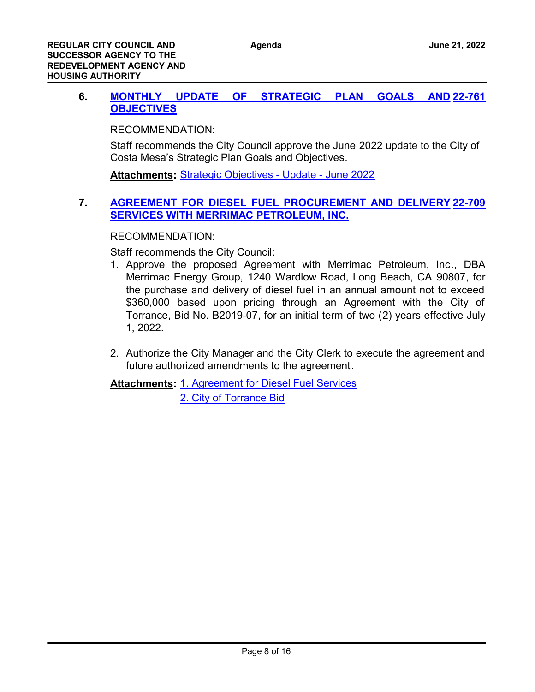#### 6. **MONTHLY UPDATE OF STRATEGIC PLAN GOALS OBJECTIVES [22-761](http://costamesa.legistar.com/gateway.aspx?m=l&id=/matter.aspx?key=1865)**

RECOMMENDATION:

Staff recommends the City Council approve the June 2022 update to the City of Costa Mesa's Strategic Plan Goals and Objectives.

**Attachments:** [Strategic Objectives - Update - June 2022](http://costamesa.legistar.com/gateway.aspx?M=F&ID=2f252fea-2b16-4555-be61-5a474d4be044.doc)

# **7. [AGREEMENT FOR DIESEL FUEL PROCUREMENT AND DELIVERY](http://costamesa.legistar.com/gateway.aspx?m=l&id=/matter.aspx?key=1813) [22-709](http://costamesa.legistar.com/gateway.aspx?m=l&id=/matter.aspx?key=1813) SERVICES WITH MERRIMAC PETROLEUM, INC.**

RECOMMENDATION:

Staff recommends the City Council:

- 1. Approve the proposed Agreement with Merrimac Petroleum, Inc., DBA Merrimac Energy Group, 1240 Wardlow Road, Long Beach, CA 90807, for the purchase and delivery of diesel fuel in an annual amount not to exceed \$360,000 based upon pricing through an Agreement with the City of Torrance, Bid No. B2019-07, for an initial term of two (2) years effective July 1, 2022.
- 2. Authorize the City Manager and the City Clerk to execute the agreement and future authorized amendments to the agreement.

Attachments: [1. Agreement for Diesel Fuel Services](http://costamesa.legistar.com/gateway.aspx?M=F&ID=112d148c-314f-4aa6-b3f3-80fe1aada9ad.pdf)

[2. City of Torrance Bid](http://costamesa.legistar.com/gateway.aspx?M=F&ID=65629762-abcc-4404-ba33-5c8fbb6863bc.pdf)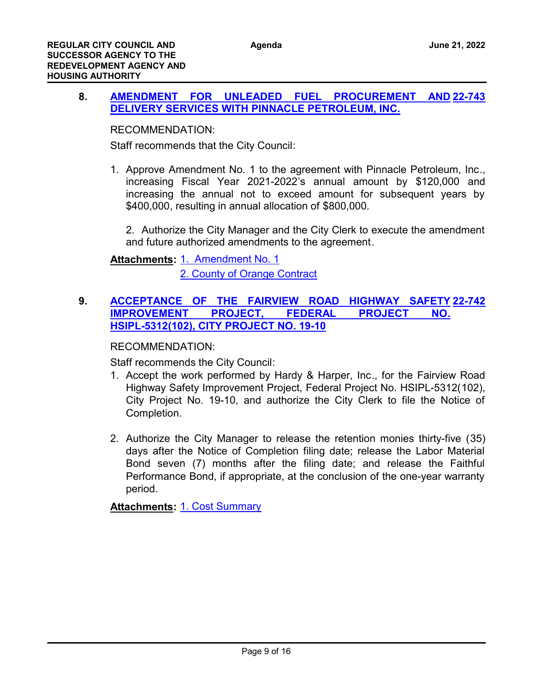#### 8. **AMENDMENT FOR UNLEADED FUEL PROCUREMENT DELIVERY SERVICES WITH PINNACLE PETROLEUM, INC. [22-743](http://costamesa.legistar.com/gateway.aspx?m=l&id=/matter.aspx?key=1847)**

RECOMMENDATION:

Staff recommends that the City Council:

1. Approve Amendment No. 1 to the agreement with Pinnacle Petroleum, Inc., increasing Fiscal Year 2021-2022's annual amount by \$120,000 and increasing the annual not to exceed amount for subsequent years by \$400,000, resulting in annual allocation of \$800,000.

2. Authorize the City Manager and the City Clerk to execute the amendment and future authorized amendments to the agreement.

Attachments: [1. Amendment No. 1](http://costamesa.legistar.com/gateway.aspx?M=F&ID=41aeea43-5a7a-42f9-99a9-18bb46d2935f.pdf) [2. County of Orange Contract](http://costamesa.legistar.com/gateway.aspx?M=F&ID=1f516463-5b2b-41e6-845f-65a642052a0f.pdf)

# **9. [ACCEPTANCE OF THE FAIRVIEW ROAD HIGHWAY SAFETY](http://costamesa.legistar.com/gateway.aspx?m=l&id=/matter.aspx?key=1846) [22-742](http://costamesa.legistar.com/gateway.aspx?m=l&id=/matter.aspx?key=1846) IMPROVEMENT PROJECT, FEDERAL PROJECT NO. HSIPL-5312(102), CITY PROJECT NO. 19-10**

RECOMMENDATION:

Staff recommends the City Council:

- 1. Accept the work performed by Hardy & Harper, Inc., for the Fairview Road Highway Safety Improvement Project, Federal Project No. HSIPL-5312(102), City Project No. 19-10, and authorize the City Clerk to file the Notice of Completion.
- 2. Authorize the City Manager to release the retention monies thirty-five (35) days after the Notice of Completion filing date; release the Labor Material Bond seven (7) months after the filing date; and release the Faithful Performance Bond, if appropriate, at the conclusion of the one-year warranty period.

**Attachments:** [1. Cost Summary](http://costamesa.legistar.com/gateway.aspx?M=F&ID=9af8ab51-bcb5-4261-98a9-4a976cae2d39.pdf)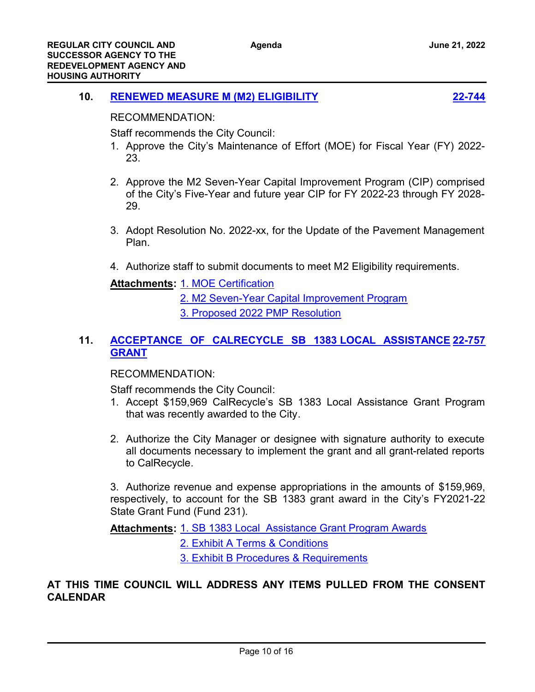# **10. [RENEWED MEASURE M \(M2\) ELIGIBILITY](http://costamesa.legistar.com/gateway.aspx?m=l&id=/matter.aspx?key=1848) [22-744](http://costamesa.legistar.com/gateway.aspx?m=l&id=/matter.aspx?key=1848)**



RECOMMENDATION:

Staff recommends the City Council:

- 1. Approve the City's Maintenance of Effort (MOE) for Fiscal Year (FY) 2022- 23.
- 2. Approve the M2 Seven-Year Capital Improvement Program (CIP) comprised of the City's Five-Year and future year CIP for FY 2022-23 through FY 2028- 29.
- 3. Adopt Resolution No. 2022-xx, for the Update of the Pavement Management Plan.
- 4. Authorize staff to submit documents to meet M2 Eligibility requirements.

**Attachments: [1. MOE Certification](http://costamesa.legistar.com/gateway.aspx?M=F&ID=a0402570-1fd1-4c0c-a5d5-d141431738e6.pdf)** 

- [2. M2 Seven-Year Capital Improvement Program](http://costamesa.legistar.com/gateway.aspx?M=F&ID=9afb22e6-eb87-4007-9eb8-0b708a705993.pdf)
- [3. Proposed 2022 PMP Resolution](http://costamesa.legistar.com/gateway.aspx?M=F&ID=3b77f719-6bd8-4c27-bbca-5ec064b0ecd8.docx)

# **11. [ACCEPTANCE OF CALRECYCLE SB 1383 LOCAL ASSISTANCE](http://costamesa.legistar.com/gateway.aspx?m=l&id=/matter.aspx?key=1861) [22-757](http://costamesa.legistar.com/gateway.aspx?m=l&id=/matter.aspx?key=1861) GRANT**

# RECOMMENDATION:

Staff recommends the City Council:

- 1. Accept \$159,969 CalRecycle's SB 1383 Local Assistance Grant Program that was recently awarded to the City.
- 2. Authorize the City Manager or designee with signature authority to execute all documents necessary to implement the grant and all grant-related reports to CalRecycle.

3. Authorize revenue and expense appropriations in the amounts of \$159,969, respectively, to account for the SB 1383 grant award in the City's FY2021-22 State Grant Fund (Fund 231).

Attachments: [1. SB 1383 Local Assistance Grant Program Awards](http://costamesa.legistar.com/gateway.aspx?M=F&ID=7ea79184-3a8f-45f9-b3c8-77e935aecd7f.pdf)

[2. Exhibit A Terms & Conditions](http://costamesa.legistar.com/gateway.aspx?M=F&ID=6782de55-aa79-44cc-a31a-b749f14345ce.pdf)

[3. Exhibit B Procedures & Requirements](http://costamesa.legistar.com/gateway.aspx?M=F&ID=7d2f3033-2dd0-45fa-b461-91251ec5971d.pdf)

# **AT THIS TIME COUNCIL WILL ADDRESS ANY ITEMS PULLED FROM THE CONSENT CALENDAR**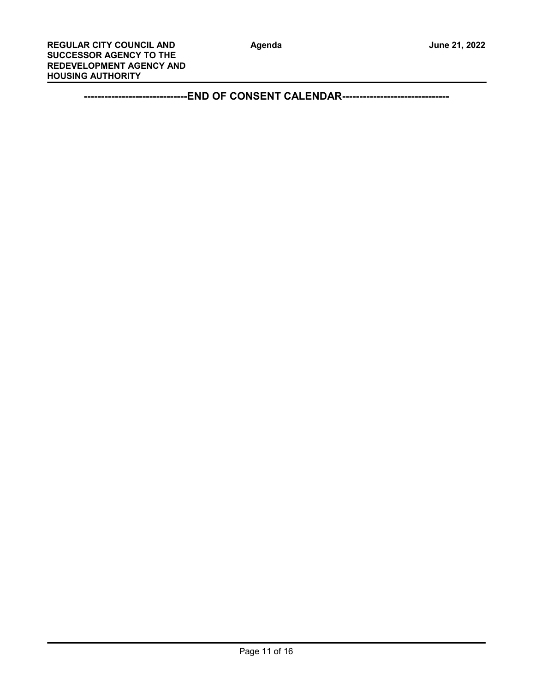**------------------------------END OF CONSENT CALENDAR-------------------------------**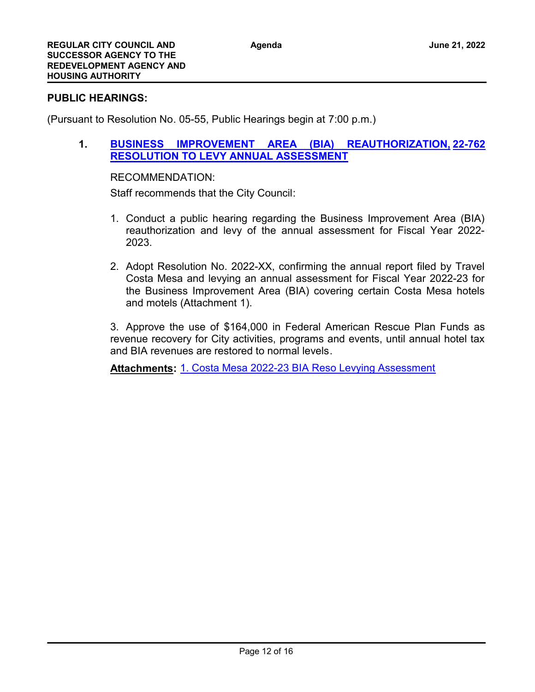#### **PUBLIC HEARINGS:**

(Pursuant to Resolution No. 05-55, Public Hearings begin at 7:00 p.m.)

**1. [BUSINESS IMPROVEMENT AREA \(BIA\) REAUTHORIZATION,](http://costamesa.legistar.com/gateway.aspx?m=l&id=/matter.aspx?key=1866) [22-762](http://costamesa.legistar.com/gateway.aspx?m=l&id=/matter.aspx?key=1866) RESOLUTION TO LEVY ANNUAL ASSESSMENT**

#### RECOMMENDATION:

Staff recommends that the City Council:

- 1. Conduct a public hearing regarding the Business Improvement Area (BIA) reauthorization and levy of the annual assessment for Fiscal Year 2022- 2023.
- 2. Adopt Resolution No. 2022-XX, confirming the annual report filed by Travel Costa Mesa and levying an annual assessment for Fiscal Year 2022-23 for the Business Improvement Area (BIA) covering certain Costa Mesa hotels and motels (Attachment 1).

3. Approve the use of \$164,000 in Federal American Rescue Plan Funds as revenue recovery for City activities, programs and events, until annual hotel tax and BIA revenues are restored to normal levels.

**Attachments:** [1. Costa Mesa 2022-23 BIA Reso Levying Assessment](http://costamesa.legistar.com/gateway.aspx?M=F&ID=e4f12f29-c809-4728-ac34-8b1ee14ceb9c.docx)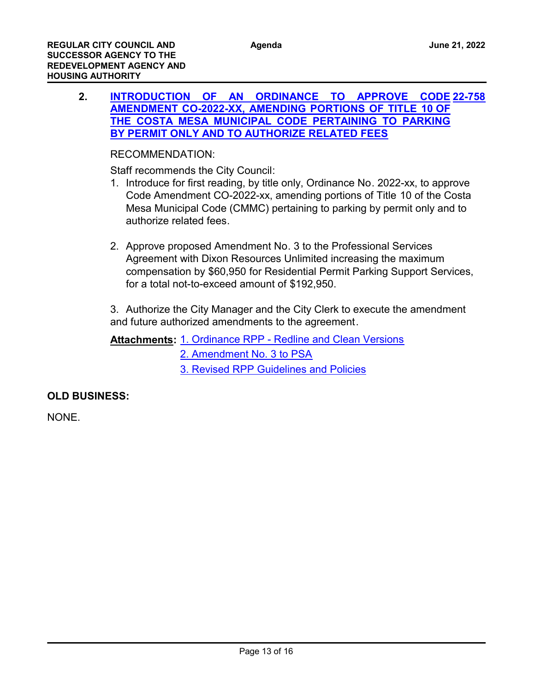**2. [INTRODUCTION OF AN ORDINANCE TO APPROVE CODE](http://costamesa.legistar.com/gateway.aspx?m=l&id=/matter.aspx?key=1862) [22-758](http://costamesa.legistar.com/gateway.aspx?m=l&id=/matter.aspx?key=1862) AMENDMENT CO-2022-XX, AMENDING PORTIONS OF TITLE 10 OF THE COSTA MESA MUNICIPAL CODE PERTAINING TO PARKING BY PERMIT ONLY AND TO AUTHORIZE RELATED FEES**

## RECOMMENDATION:

Staff recommends the City Council:

- 1. Introduce for first reading, by title only, Ordinance No. 2022-xx, to approve Code Amendment CO-2022-xx, amending portions of Title 10 of the Costa Mesa Municipal Code (CMMC) pertaining to parking by permit only and to authorize related fees.
- 2. Approve proposed Amendment No. 3 to the Professional Services Agreement with Dixon Resources Unlimited increasing the maximum compensation by \$60,950 for Residential Permit Parking Support Services, for a total not-to-exceed amount of \$192,950.

3. Authorize the City Manager and the City Clerk to execute the amendment and future authorized amendments to the agreement.

Attachments: [1. Ordinance RPP - Redline and Clean Versions](http://costamesa.legistar.com/gateway.aspx?M=F&ID=158bed46-5e24-4906-a3db-a5d40033f961.pdf) [2. Amendment No. 3 to PSA](http://costamesa.legistar.com/gateway.aspx?M=F&ID=bd1881ce-097b-4001-b8d2-be2c6d894edf.pdf) [3. Revised RPP Guidelines and Policies](http://costamesa.legistar.com/gateway.aspx?M=F&ID=fb1749bb-d719-48d6-b4bd-d117df148e65.pdf)

## **OLD BUSINESS:**

NONE.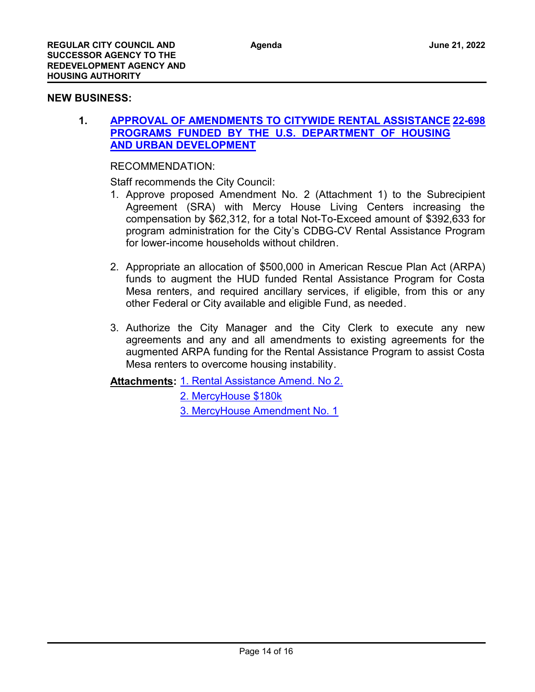#### **NEW BUSINESS:**

#### **1. [APPROVAL OF AMENDMENTS TO CITYWIDE RENTAL ASSISTANCE](http://costamesa.legistar.com/gateway.aspx?m=l&id=/matter.aspx?key=1802) [22-698](http://costamesa.legistar.com/gateway.aspx?m=l&id=/matter.aspx?key=1802) PROGRAMS FUNDED BY THE U.S. DEPARTMENT OF HOUSING AND URBAN DEVELOPMENT**

RECOMMENDATION:

Staff recommends the City Council:

- 1. Approve proposed Amendment No. 2 (Attachment 1) to the Subrecipient Agreement (SRA) with Mercy House Living Centers increasing the compensation by \$62,312, for a total Not-To-Exceed amount of \$392,633 for program administration for the City's CDBG-CV Rental Assistance Program for lower-income households without children
- 2. Appropriate an allocation of \$500,000 in American Rescue Plan Act (ARPA) funds to augment the HUD funded Rental Assistance Program for Costa Mesa renters, and required ancillary services, if eligible, from this or any other Federal or City available and eligible Fund, as needed.
- 3. Authorize the City Manager and the City Clerk to execute any new agreements and any and all amendments to existing agreements for the augmented ARPA funding for the Rental Assistance Program to assist Costa Mesa renters to overcome housing instability.

**Attachments: [1. Rental Assistance Amend. No 2.](http://costamesa.legistar.com/gateway.aspx?M=F&ID=3e136ebd-3ed8-49bc-84b7-5c26aa3390af.pdf)** 

[2. MercyHouse \\$180k](http://costamesa.legistar.com/gateway.aspx?M=F&ID=3be9b66a-51f0-496f-9bc0-6f9d17db155e.pdf) [3. MercyHouse Amendment No. 1](http://costamesa.legistar.com/gateway.aspx?M=F&ID=58d259d5-ed68-4bf7-a97e-e3c735b0f968.pdf)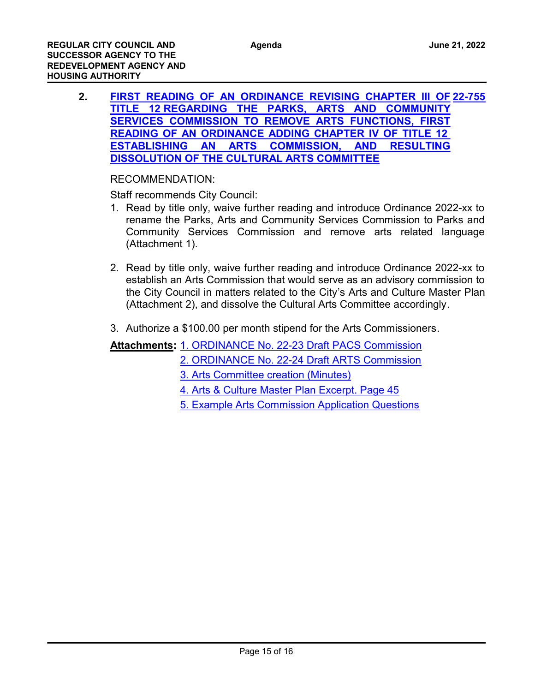**2. [FIRST READING OF AN ORDINANCE REVISING CHAPTER III OF](http://costamesa.legistar.com/gateway.aspx?m=l&id=/matter.aspx?key=1859) [22-755](http://costamesa.legistar.com/gateway.aspx?m=l&id=/matter.aspx?key=1859) TITLE 12 REGARDING THE PARKS, ARTS AND COMMUNITY SERVICES COMMISSION TO REMOVE ARTS FUNCTIONS, FIRST READING OF AN ORDINANCE ADDING CHAPTER IV OF TITLE 12 ESTABLISHING AN ARTS COMMISSION, AND RESULTING DISSOLUTION OF THE CULTURAL ARTS COMMITTEE**

## RECOMMENDATION:

Staff recommends City Council:

- 1. Read by title only, waive further reading and introduce Ordinance 2022-xx to rename the Parks, Arts and Community Services Commission to Parks and Community Services Commission and remove arts related language (Attachment 1).
- 2. Read by title only, waive further reading and introduce Ordinance 2022-xx to establish an Arts Commission that would serve as an advisory commission to the City Council in matters related to the City's Arts and Culture Master Plan (Attachment 2), and dissolve the Cultural Arts Committee accordingly.
- 3. Authorize a \$100.00 per month stipend for the Arts Commissioners.

# Attachments: [1. ORDINANCE No. 22-23 Draft PACS Commission](http://costamesa.legistar.com/gateway.aspx?M=F&ID=d5095f71-ddac-424c-86c8-de3569ab2d87.docx)

- [2. ORDINANCE No. 22-24 Draft ARTS Commission](http://costamesa.legistar.com/gateway.aspx?M=F&ID=2460cebd-e292-41fe-bc7e-a80b167e1952.docx)
- [3. Arts Committee creation \(Minutes\)](http://costamesa.legistar.com/gateway.aspx?M=F&ID=bd27be19-7826-4c65-8048-30f33f742d2e.pdf)
- [4. Arts & Culture Master Plan Excerpt. Page 45](http://costamesa.legistar.com/gateway.aspx?M=F&ID=d31cd859-d19d-417c-b15d-3289a04b73e4.pdf)
- [5. Example Arts Commission Application Questions](http://costamesa.legistar.com/gateway.aspx?M=F&ID=b6189040-6fe3-4af8-a8a8-40eeed6951a6.pdf)